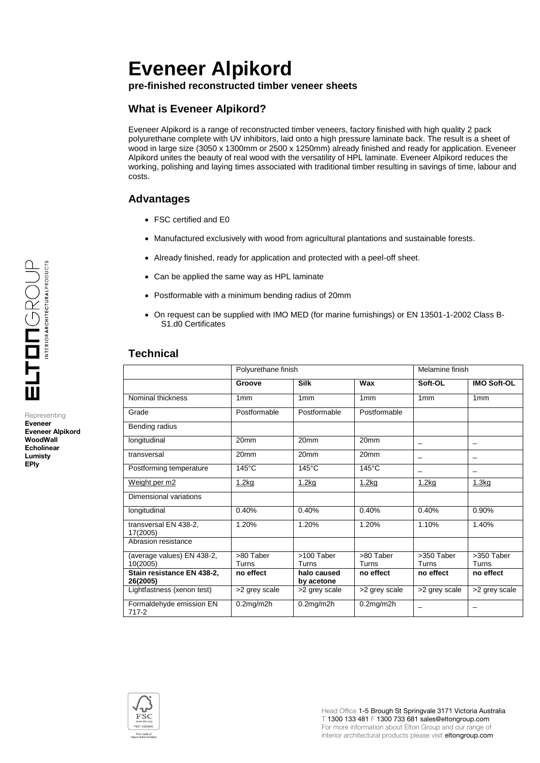# **Eveneer Alpikord**

**pre-finished reconstructed timber veneer sheets**

# **What is Eveneer Alpikord?**

Eveneer Alpikord is a range of reconstructed timber veneers, factory finished with high quality 2 pack polyurethane complete with UV inhibitors, laid onto a high pressure laminate back. The result is a sheet of wood in large size (3050 x 1300mm or 2500 x 1250mm) already finished and ready for application. Eveneer Alpikord unites the beauty of real wood with the versatility of HPL laminate. Eveneer Alpikord reduces the working, polishing and laying times associated with traditional timber resulting in savings of time, labour and costs.

# **Advantages**

- FSC certified and E0
- Manufactured exclusively with wood from agricultural plantations and sustainable forests.
- Already finished, ready for application and protected with a peel-off sheet.
- Can be applied the same way as HPL laminate
- Postformable with a minimum bending radius of 20mm
- On request can be supplied with IMO MED (for marine furnishings) or EN 13501-1-2002 Class B-S1.d0 Certificates

# **Technical**

|                                        | Polyurethane finish |                           |                    | Melamine finish     |                     |
|----------------------------------------|---------------------|---------------------------|--------------------|---------------------|---------------------|
|                                        | Groove              | <b>Silk</b>               | Wax                | Soft-OL             | <b>IMO Soft-OL</b>  |
| Nominal thickness                      | 1mm                 | 1mm                       | 1mm                | 1mm                 | 1mm                 |
| Grade                                  | Postformable        | Postformable              | Postformable       |                     |                     |
| Bending radius                         |                     |                           |                    |                     |                     |
| longitudinal                           | 20 <sub>mm</sub>    | 20 <sub>mm</sub>          | 20 <sub>mm</sub>   |                     |                     |
| transversal                            | 20 <sub>mm</sub>    | 20 <sub>mm</sub>          | 20mm               | -                   |                     |
| Postforming temperature                | $145^{\circ}$ C     | $145^{\circ}$ C           | $145^{\circ}$ C    | -                   |                     |
| Weight per m2                          | 1.2kg               | 1.2kg                     | 1.2kg              | 1.2kg               | 1.3kg               |
| Dimensional variations                 |                     |                           |                    |                     |                     |
| longitudinal                           | 0.40%               | 0.40%                     | 0.40%              | 0.40%               | 0.90%               |
| transversal EN 438-2.<br>17(2005)      | 1.20%               | 1.20%                     | 1.20%              | 1.10%               | 1.40%               |
| Abrasion resistance                    |                     |                           |                    |                     |                     |
| (average values) EN 438-2,<br>10(2005) | >80 Taber<br>Turns  | >100 Taber<br>Turns       | >80 Taber<br>Turns | >350 Taber<br>Turns | >350 Taber<br>Turns |
| Stain resistance EN 438-2,<br>26(2005) | no effect           | halo caused<br>by acetone | no effect          | no effect           | no effect           |
| Lightfastness (xenon test)             | >2 grey scale       | >2 grey scale             | >2 grey scale      | >2 grey scale       | >2 grey scale       |
| Formaldehyde emission EN<br>$717 - 2$  | $0.2$ mg/m $2h$     | $0.2$ mg/m $2$ h          | $0.2$ mg/m $2h$    |                     |                     |



Representing **Eveneer Eveneer Alpikord WoodWall Echolinear Lumisty EPly**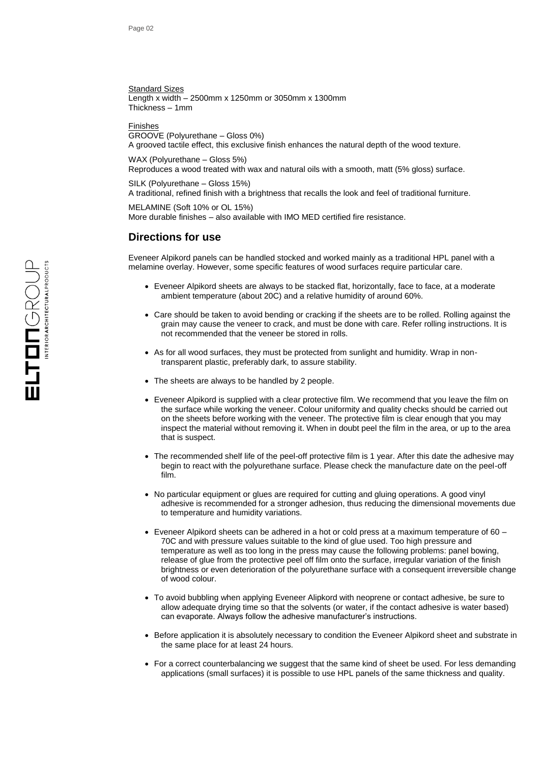Standard Sizes Length x width – 2500mm x 1250mm or 3050mm x 1300mm Thickness – 1mm

Finishes

GROOVE (Polyurethane – Gloss 0%) A grooved tactile effect, this exclusive finish enhances the natural depth of the wood texture.

WAX (Polyurethane – Gloss 5%) Reproduces a wood treated with wax and natural oils with a smooth, matt (5% gloss) surface.

SILK (Polyurethane – Gloss 15%)

A traditional, refined finish with a brightness that recalls the look and feel of traditional furniture.

MELAMINE (Soft 10% or OL 15%) More durable finishes – also available with IMO MED certified fire resistance.

## **Directions for use**

Eveneer Alpikord panels can be handled stocked and worked mainly as a traditional HPL panel with a melamine overlay. However, some specific features of wood surfaces require particular care.

- Eveneer Alpikord sheets are always to be stacked flat, horizontally, face to face, at a moderate ambient temperature (about 20C) and a relative humidity of around 60%.
- Care should be taken to avoid bending or cracking if the sheets are to be rolled. Rolling against the grain may cause the veneer to crack, and must be done with care. Refer rolling instructions. It is not recommended that the veneer be stored in rolls.
- As for all wood surfaces, they must be protected from sunlight and humidity. Wrap in nontransparent plastic, preferably dark, to assure stability.
- The sheets are always to be handled by 2 people.
- Eveneer Alpikord is supplied with a clear protective film. We recommend that you leave the film on the surface while working the veneer. Colour uniformity and quality checks should be carried out on the sheets before working with the veneer. The protective film is clear enough that you may inspect the material without removing it. When in doubt peel the film in the area, or up to the area that is suspect.
- The recommended shelf life of the peel-off protective film is 1 year. After this date the adhesive may begin to react with the polyurethane surface. Please check the manufacture date on the peel-off film.
- No particular equipment or glues are required for cutting and gluing operations. A good vinyl adhesive is recommended for a stronger adhesion, thus reducing the dimensional movements due to temperature and humidity variations.
- $\bullet$  Eveneer Alpikord sheets can be adhered in a hot or cold press at a maximum temperature of 60 70C and with pressure values suitable to the kind of glue used. Too high pressure and temperature as well as too long in the press may cause the following problems: panel bowing, release of glue from the protective peel off film onto the surface, irregular variation of the finish brightness or even deterioration of the polyurethane surface with a consequent irreversible change of wood colour.
- To avoid bubbling when applying Eveneer Alipkord with neoprene or contact adhesive, be sure to allow adequate drying time so that the solvents (or water, if the contact adhesive is water based) can evaporate. Always follow the adhesive manufacturer's instructions.
- Before application it is absolutely necessary to condition the Eveneer Alpikord sheet and substrate in the same place for at least 24 hours.
- For a correct counterbalancing we suggest that the same kind of sheet be used. For less demanding applications (small surfaces) it is possible to use HPL panels of the same thickness and quality.